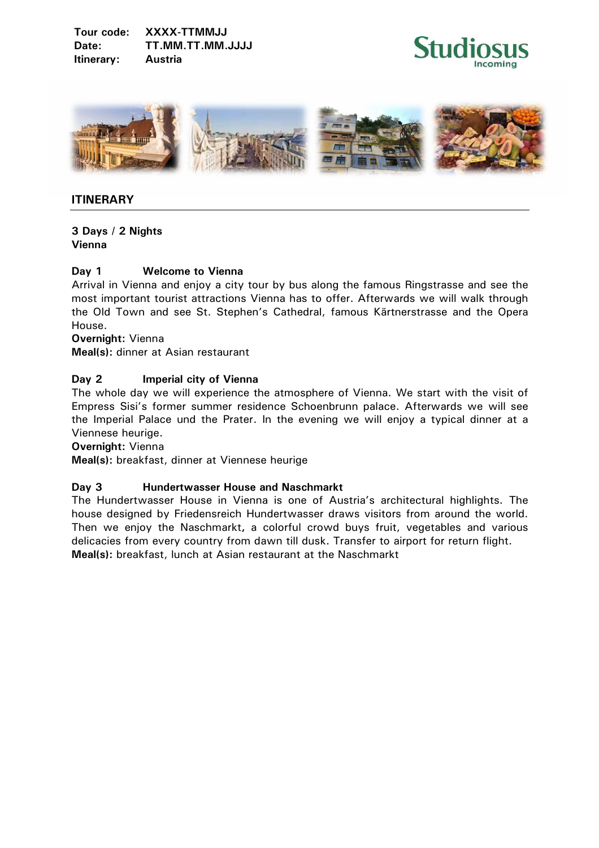**Tour code: XXXX-TTMMJJ Date: TT.MM.TT.MM.JJJJ Itinerary: Austria** 





# **ITINERARY**

**3 Days / 2 Nights Vienna** 

## **Day 1 Welcome to Vienna**

Arrival in Vienna and enjoy a city tour by bus along the famous Ringstrasse and see the most important tourist attractions Vienna has to offer. Afterwards we will walk through the Old Town and see St. Stephen's Cathedral, famous Kärtnerstrasse and the Opera House.

**Overnight:** Vienna

**Meal(s):** dinner at Asian restaurant

## **Day 2 Imperial city of Vienna**

The whole day we will experience the atmosphere of Vienna. We start with the visit of Empress Sisi's former summer residence Schoenbrunn palace. Afterwards we will see the Imperial Palace und the Prater. In the evening we will enjoy a typical dinner at a Viennese heurige.

**Overnight:** Vienna

**Meal(s):** breakfast, dinner at Viennese heurige

#### **Day 3 Hundertwasser House and Naschmarkt**

The Hundertwasser House in Vienna is one of Austria's architectural highlights. The house designed by Friedensreich Hundertwasser draws visitors from around the world. Then we enjoy the Naschmarkt**,** a colorful crowd buys fruit, vegetables and various delicacies from every country from dawn till dusk. Transfer to airport for return flight. **Meal(s):** breakfast, lunch at Asian restaurant at the Naschmarkt